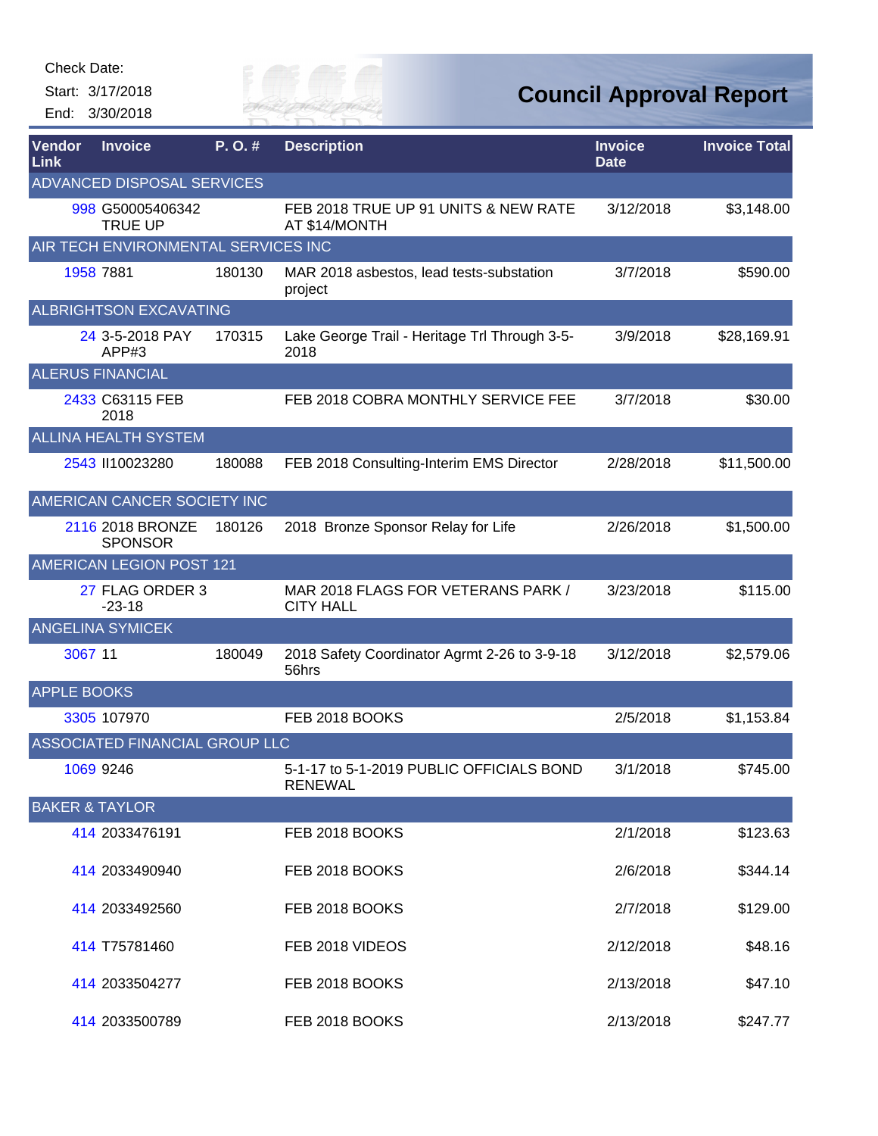Start: 3/17/2018 End: 3/30/2018



**Council Approval Report**

| Vendor<br>Link            | <b>Invoice</b>                      | P.O.#  | <b>Description</b>                                         | <b>Invoice</b><br><b>Date</b> | <b>Invoice Total</b> |
|---------------------------|-------------------------------------|--------|------------------------------------------------------------|-------------------------------|----------------------|
|                           | <b>ADVANCED DISPOSAL SERVICES</b>   |        |                                                            |                               |                      |
|                           | 998 G50005406342<br><b>TRUE UP</b>  |        | FEB 2018 TRUE UP 91 UNITS & NEW RATE<br>AT \$14/MONTH      | 3/12/2018                     | \$3,148.00           |
|                           | AIR TECH ENVIRONMENTAL SERVICES INC |        |                                                            |                               |                      |
|                           | 1958 7881                           | 180130 | MAR 2018 asbestos, lead tests-substation<br>project        | 3/7/2018                      | \$590.00             |
|                           | <b>ALBRIGHTSON EXCAVATING</b>       |        |                                                            |                               |                      |
|                           | 24 3-5-2018 PAY<br>APP#3            | 170315 | Lake George Trail - Heritage Trl Through 3-5-<br>2018      | 3/9/2018                      | \$28,169.91          |
|                           | <b>ALERUS FINANCIAL</b>             |        |                                                            |                               |                      |
|                           | 2433 C63115 FEB<br>2018             |        | FEB 2018 COBRA MONTHLY SERVICE FEE                         | 3/7/2018                      | \$30.00              |
|                           | <b>ALLINA HEALTH SYSTEM</b>         |        |                                                            |                               |                      |
|                           | 2543 II10023280                     | 180088 | FEB 2018 Consulting-Interim EMS Director                   | 2/28/2018                     | \$11,500.00          |
|                           | AMERICAN CANCER SOCIETY INC         |        |                                                            |                               |                      |
|                           | 2116 2018 BRONZE<br><b>SPONSOR</b>  | 180126 | 2018 Bronze Sponsor Relay for Life                         | 2/26/2018                     | \$1,500.00           |
|                           | AMERICAN LEGION POST 121            |        |                                                            |                               |                      |
|                           | 27 FLAG ORDER 3<br>$-23-18$         |        | MAR 2018 FLAGS FOR VETERANS PARK /<br><b>CITY HALL</b>     | 3/23/2018                     | \$115.00             |
|                           | <b>ANGELINA SYMICEK</b>             |        |                                                            |                               |                      |
| 3067 11                   |                                     | 180049 | 2018 Safety Coordinator Agrmt 2-26 to 3-9-18<br>56hrs      | 3/12/2018                     | \$2,579.06           |
| <b>APPLE BOOKS</b>        |                                     |        |                                                            |                               |                      |
|                           | 3305 107970                         |        | FEB 2018 BOOKS                                             | 2/5/2018                      | \$1,153.84           |
|                           | ASSOCIATED FINANCIAL GROUP LLC      |        |                                                            |                               |                      |
|                           | 1069 9246                           |        | 5-1-17 to 5-1-2019 PUBLIC OFFICIALS BOND<br><b>RENEWAL</b> | 3/1/2018                      | \$745.00             |
| <b>BAKER &amp; TAYLOR</b> |                                     |        |                                                            |                               |                      |
|                           | 414 2033476191                      |        | FEB 2018 BOOKS                                             | 2/1/2018                      | \$123.63             |
|                           | 414 2033490940                      |        | FEB 2018 BOOKS                                             | 2/6/2018                      | \$344.14             |
|                           | 414 2033492560                      |        | FEB 2018 BOOKS                                             | 2/7/2018                      | \$129.00             |
|                           | 414 T75781460                       |        | FEB 2018 VIDEOS                                            | 2/12/2018                     | \$48.16              |
|                           | 414 2033504277                      |        | FEB 2018 BOOKS                                             | 2/13/2018                     | \$47.10              |
|                           | 414 2033500789                      |        | FEB 2018 BOOKS                                             | 2/13/2018                     | \$247.77             |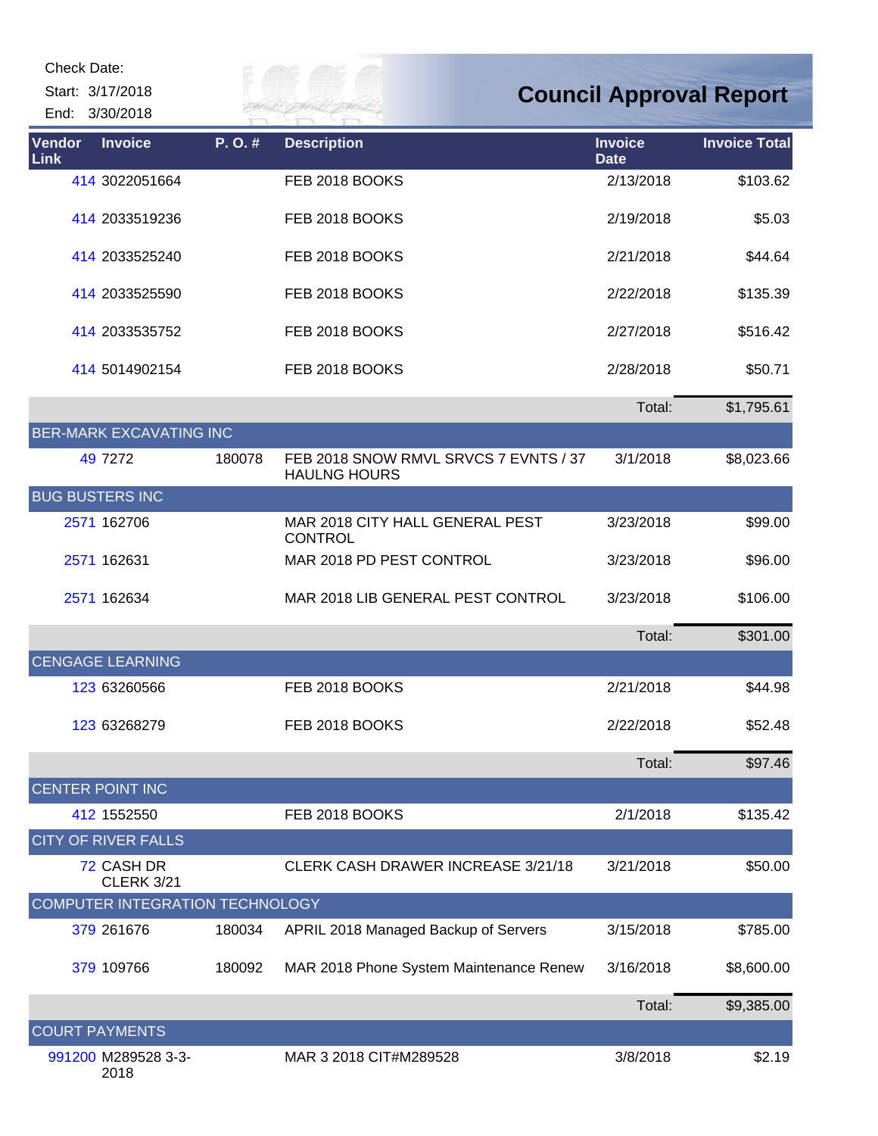| Check Date:    |                                    |        |                                                              |                               |                                |
|----------------|------------------------------------|--------|--------------------------------------------------------------|-------------------------------|--------------------------------|
|                | Start: 3/17/2018<br>End: 3/30/2018 |        | 7 H V 1                                                      |                               | <b>Council Approval Report</b> |
| Vendor<br>Link | <b>Invoice</b>                     | P.O.#  | <b>Description</b>                                           | <b>Invoice</b><br><b>Date</b> | <b>Invoice Total</b>           |
|                | 414 3022051664                     |        | FEB 2018 BOOKS                                               | 2/13/2018                     | \$103.62                       |
|                | 414 2033519236                     |        | FEB 2018 BOOKS                                               | 2/19/2018                     | \$5.03                         |
|                | 414 2033525240                     |        | FEB 2018 BOOKS                                               | 2/21/2018                     | \$44.64                        |
|                | 414 2033525590                     |        | FEB 2018 BOOKS                                               | 2/22/2018                     | \$135.39                       |
|                | 414 2033535752                     |        | FEB 2018 BOOKS                                               | 2/27/2018                     | \$516.42                       |
|                | 414 5014902154                     |        | FEB 2018 BOOKS                                               | 2/28/2018                     | \$50.71                        |
|                |                                    |        |                                                              | Total:                        | \$1,795.61                     |
|                | <b>BER-MARK EXCAVATING INC</b>     |        |                                                              |                               |                                |
|                | 49 7272                            | 180078 | FEB 2018 SNOW RMVL SRVCS 7 EVNTS / 37<br><b>HAULNG HOURS</b> | 3/1/2018                      | \$8,023.66                     |
|                | <b>BUG BUSTERS INC</b>             |        |                                                              |                               |                                |
|                | 2571 162706                        |        | MAR 2018 CITY HALL GENERAL PEST<br><b>CONTROL</b>            | 3/23/2018                     | \$99.00                        |
|                | 2571 162631                        |        | MAR 2018 PD PEST CONTROL                                     | 3/23/2018                     | \$96.00                        |
|                | 2571 162634                        |        | MAR 2018 LIB GENERAL PEST CONTROL                            | 3/23/2018                     | \$106.00                       |
|                |                                    |        |                                                              | Total:                        | \$301.00                       |
|                | <b>CENGAGE LEARNING</b>            |        |                                                              |                               |                                |
|                | 123 63260566                       |        | FEB 2018 BOOKS                                               | 2/21/2018                     | \$44.98                        |
|                | 123 63268279                       |        | FEB 2018 BOOKS                                               | 2/22/2018                     | \$52.48                        |
|                |                                    |        |                                                              | Total:                        | \$97.46                        |
|                | <b>CENTER POINT INC</b>            |        |                                                              |                               |                                |
|                | 412 1552550                        |        | FEB 2018 BOOKS                                               | 2/1/2018                      | \$135.42                       |
|                | <b>CITY OF RIVER FALLS</b>         |        |                                                              |                               |                                |
|                | 72 CASH DR<br><b>CLERK 3/21</b>    |        | <b>CLERK CASH DRAWER INCREASE 3/21/18</b>                    | 3/21/2018                     | \$50.00                        |
|                | COMPUTER INTEGRATION TECHNOLOGY    |        |                                                              |                               |                                |
|                | 379 261676                         | 180034 | APRIL 2018 Managed Backup of Servers                         | 3/15/2018                     | \$785.00                       |
|                | 379 109766                         | 180092 | MAR 2018 Phone System Maintenance Renew                      | 3/16/2018                     | \$8,600.00                     |
|                |                                    |        |                                                              | Total:                        | \$9,385.00                     |
|                | <b>COURT PAYMENTS</b>              |        |                                                              |                               |                                |
|                | 991200 M289528 3-3-<br>2018        |        | MAR 3 2018 CIT#M289528                                       | 3/8/2018                      | \$2.19                         |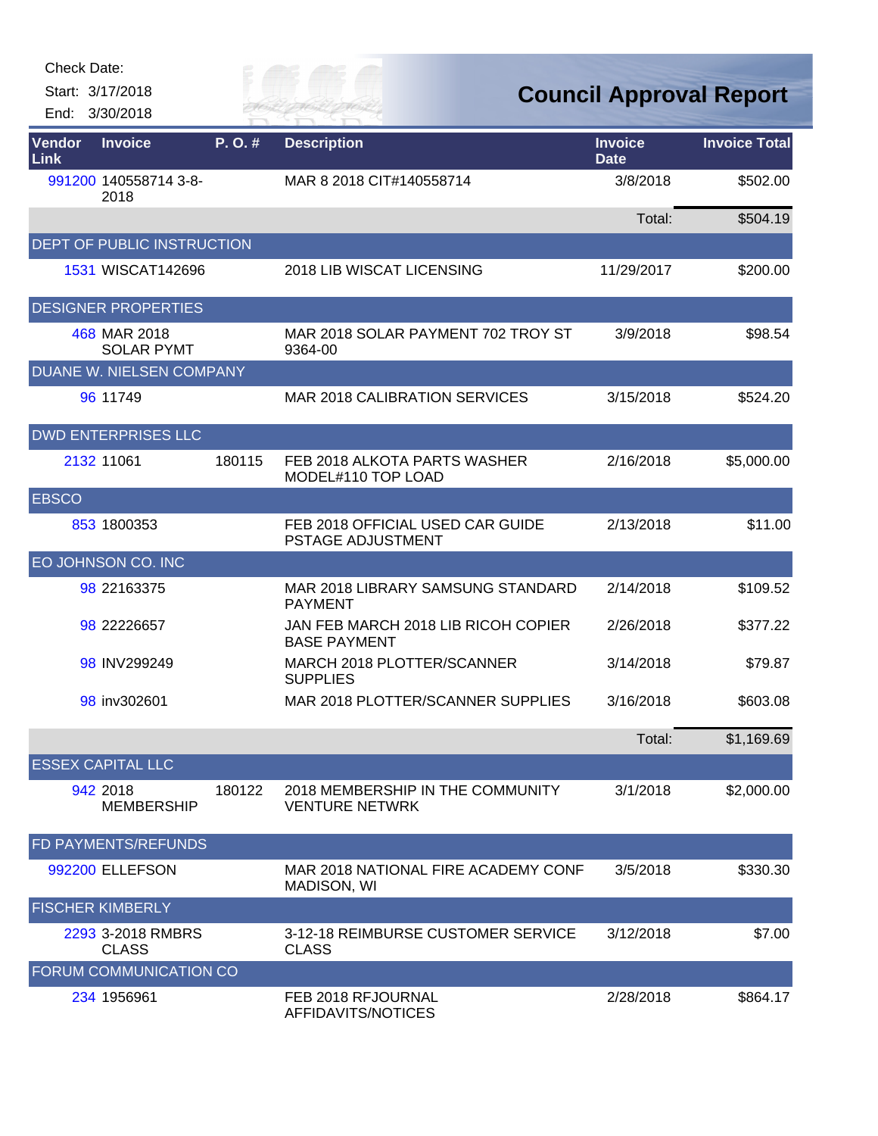Start: 3/17/2018

End: 3/30/2018

Eily of

**Council Approval Report**

| Vendor<br>Link | <b>Invoice</b>                    | P. O. # | <b>Description</b>                                         | <b>Invoice</b><br><b>Date</b> | <b>Invoice Total</b> |
|----------------|-----------------------------------|---------|------------------------------------------------------------|-------------------------------|----------------------|
|                | 991200 140558714 3-8-<br>2018     |         | MAR 8 2018 CIT#140558714                                   | 3/8/2018                      | \$502.00             |
|                |                                   |         |                                                            | Total:                        | \$504.19             |
|                | DEPT OF PUBLIC INSTRUCTION        |         |                                                            |                               |                      |
|                | 1531 WISCAT142696                 |         | 2018 LIB WISCAT LICENSING                                  | 11/29/2017                    | \$200.00             |
|                | <b>DESIGNER PROPERTIES</b>        |         |                                                            |                               |                      |
|                | 468 MAR 2018<br><b>SOLAR PYMT</b> |         | MAR 2018 SOLAR PAYMENT 702 TROY ST<br>9364-00              | 3/9/2018                      | \$98.54              |
|                | DUANE W. NIELSEN COMPANY          |         |                                                            |                               |                      |
|                | 96 11749                          |         | <b>MAR 2018 CALIBRATION SERVICES</b>                       | 3/15/2018                     | \$524.20             |
|                | <b>DWD ENTERPRISES LLC</b>        |         |                                                            |                               |                      |
|                | 2132 11061                        | 180115  | FEB 2018 ALKOTA PARTS WASHER<br>MODEL#110 TOP LOAD         | 2/16/2018                     | \$5,000.00           |
| <b>EBSCO</b>   |                                   |         |                                                            |                               |                      |
|                | 853 1800353                       |         | FEB 2018 OFFICIAL USED CAR GUIDE<br>PSTAGE ADJUSTMENT      | 2/13/2018                     | \$11.00              |
|                | EO JOHNSON CO. INC                |         |                                                            |                               |                      |
|                | 98 22163375                       |         | MAR 2018 LIBRARY SAMSUNG STANDARD<br><b>PAYMENT</b>        | 2/14/2018                     | \$109.52             |
|                | 98 22226657                       |         | JAN FEB MARCH 2018 LIB RICOH COPIER<br><b>BASE PAYMENT</b> | 2/26/2018                     | \$377.22             |
|                | 98 INV299249                      |         | MARCH 2018 PLOTTER/SCANNER<br><b>SUPPLIES</b>              | 3/14/2018                     | \$79.87              |
|                | 98 inv302601                      |         | MAR 2018 PLOTTER/SCANNER SUPPLIES                          | 3/16/2018                     | \$603.08             |
|                |                                   |         |                                                            | Total:                        | \$1,169.69           |
|                | <b>ESSEX CAPITAL LLC</b>          |         |                                                            |                               |                      |
|                | 942 2018<br><b>MEMBERSHIP</b>     | 180122  | 2018 MEMBERSHIP IN THE COMMUNITY<br><b>VENTURE NETWRK</b>  | 3/1/2018                      | \$2,000.00           |
|                | FD PAYMENTS/REFUNDS               |         |                                                            |                               |                      |
|                | 992200 ELLEFSON                   |         | MAR 2018 NATIONAL FIRE ACADEMY CONF<br>MADISON, WI         | 3/5/2018                      | \$330.30             |
|                | <b>FISCHER KIMBERLY</b>           |         |                                                            |                               |                      |
|                | 2293 3-2018 RMBRS<br><b>CLASS</b> |         | 3-12-18 REIMBURSE CUSTOMER SERVICE<br><b>CLASS</b>         | 3/12/2018                     | \$7.00               |
|                | FORUM COMMUNICATION CO            |         |                                                            |                               |                      |
|                | 234 1956961                       |         | FEB 2018 RFJOURNAL<br>AFFIDAVITS/NOTICES                   | 2/28/2018                     | \$864.17             |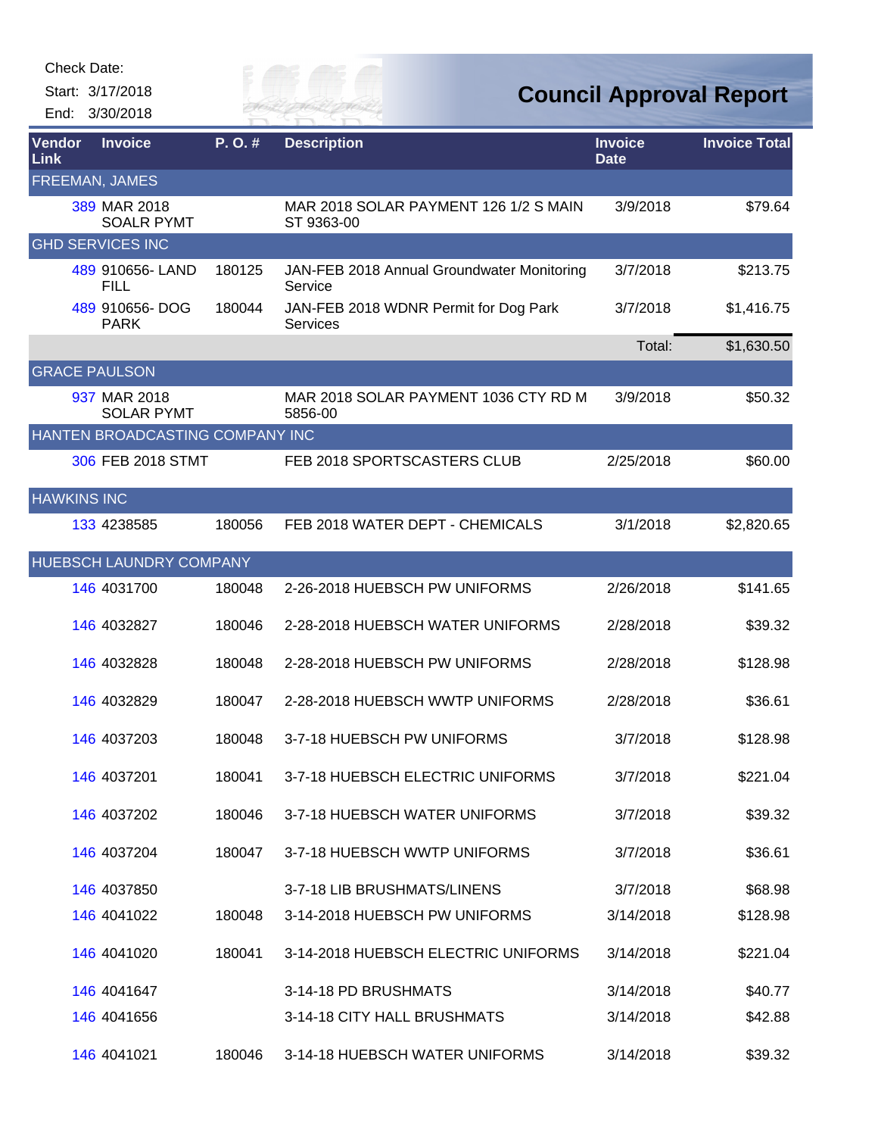| Check Date: |  |
|-------------|--|
|-------------|--|

Start: 3/17/2018 End: 3/30/2018



## **Council Approval Report**

| Vendor<br><b>Link</b> | <b>Invoice</b>                    | P.O.#  | <b>Description</b>                                       | <b>Invoice</b><br><b>Date</b> | <b>Invoice Total</b> |
|-----------------------|-----------------------------------|--------|----------------------------------------------------------|-------------------------------|----------------------|
|                       | FREEMAN, JAMES                    |        |                                                          |                               |                      |
|                       | 389 MAR 2018<br><b>SOALR PYMT</b> |        | MAR 2018 SOLAR PAYMENT 126 1/2 S MAIN<br>ST 9363-00      | 3/9/2018                      | \$79.64              |
|                       | <b>GHD SERVICES INC</b>           |        |                                                          |                               |                      |
|                       | 489 910656-LAND<br><b>FILL</b>    | 180125 | JAN-FEB 2018 Annual Groundwater Monitoring<br>Service    | 3/7/2018                      | \$213.75             |
|                       | 489 910656-DOG<br><b>PARK</b>     | 180044 | JAN-FEB 2018 WDNR Permit for Dog Park<br><b>Services</b> | 3/7/2018                      | \$1,416.75           |
|                       |                                   |        |                                                          | Total:                        | \$1,630.50           |
|                       | <b>GRACE PAULSON</b>              |        |                                                          |                               |                      |
|                       | 937 MAR 2018<br><b>SOLAR PYMT</b> |        | MAR 2018 SOLAR PAYMENT 1036 CTY RD M<br>5856-00          | 3/9/2018                      | \$50.32              |
|                       | HANTEN BROADCASTING COMPANY INC   |        |                                                          |                               |                      |
|                       | 306 FEB 2018 STMT                 |        | FEB 2018 SPORTSCASTERS CLUB                              | 2/25/2018                     | \$60.00              |
| <b>HAWKINS INC</b>    |                                   |        |                                                          |                               |                      |
|                       | 133 4238585                       | 180056 | FEB 2018 WATER DEPT - CHEMICALS                          | 3/1/2018                      | \$2,820.65           |
|                       | HUEBSCH LAUNDRY COMPANY           |        |                                                          |                               |                      |
|                       | 146 4031700                       | 180048 | 2-26-2018 HUEBSCH PW UNIFORMS                            | 2/26/2018                     | \$141.65             |
|                       | 146 4032827                       | 180046 | 2-28-2018 HUEBSCH WATER UNIFORMS                         | 2/28/2018                     | \$39.32              |
|                       | 146 4032828                       | 180048 | 2-28-2018 HUEBSCH PW UNIFORMS                            | 2/28/2018                     | \$128.98             |
|                       | 146 4032829                       | 180047 | 2-28-2018 HUEBSCH WWTP UNIFORMS                          | 2/28/2018                     | \$36.61              |
|                       | 146 4037203                       | 180048 | 3-7-18 HUEBSCH PW UNIFORMS                               | 3/7/2018                      | \$128.98             |
|                       | 146 4037201                       | 180041 | 3-7-18 HUEBSCH ELECTRIC UNIFORMS                         | 3/7/2018                      | \$221.04             |
|                       | 146 4037202                       | 180046 | 3-7-18 HUEBSCH WATER UNIFORMS                            | 3/7/2018                      | \$39.32              |
|                       | 146 4037204                       | 180047 | 3-7-18 HUEBSCH WWTP UNIFORMS                             | 3/7/2018                      | \$36.61              |
|                       | 146 4037850                       |        | 3-7-18 LIB BRUSHMATS/LINENS                              | 3/7/2018                      | \$68.98              |
|                       | 146 4041022                       | 180048 | 3-14-2018 HUEBSCH PW UNIFORMS                            | 3/14/2018                     | \$128.98             |
|                       | 146 4041020                       | 180041 | 3-14-2018 HUEBSCH ELECTRIC UNIFORMS                      | 3/14/2018                     | \$221.04             |
|                       | 146 4041647                       |        | 3-14-18 PD BRUSHMATS                                     | 3/14/2018                     | \$40.77              |
|                       | 146 4041656                       |        | 3-14-18 CITY HALL BRUSHMATS                              | 3/14/2018                     | \$42.88              |
|                       | 146 4041021                       | 180046 | 3-14-18 HUEBSCH WATER UNIFORMS                           | 3/14/2018                     | \$39.32              |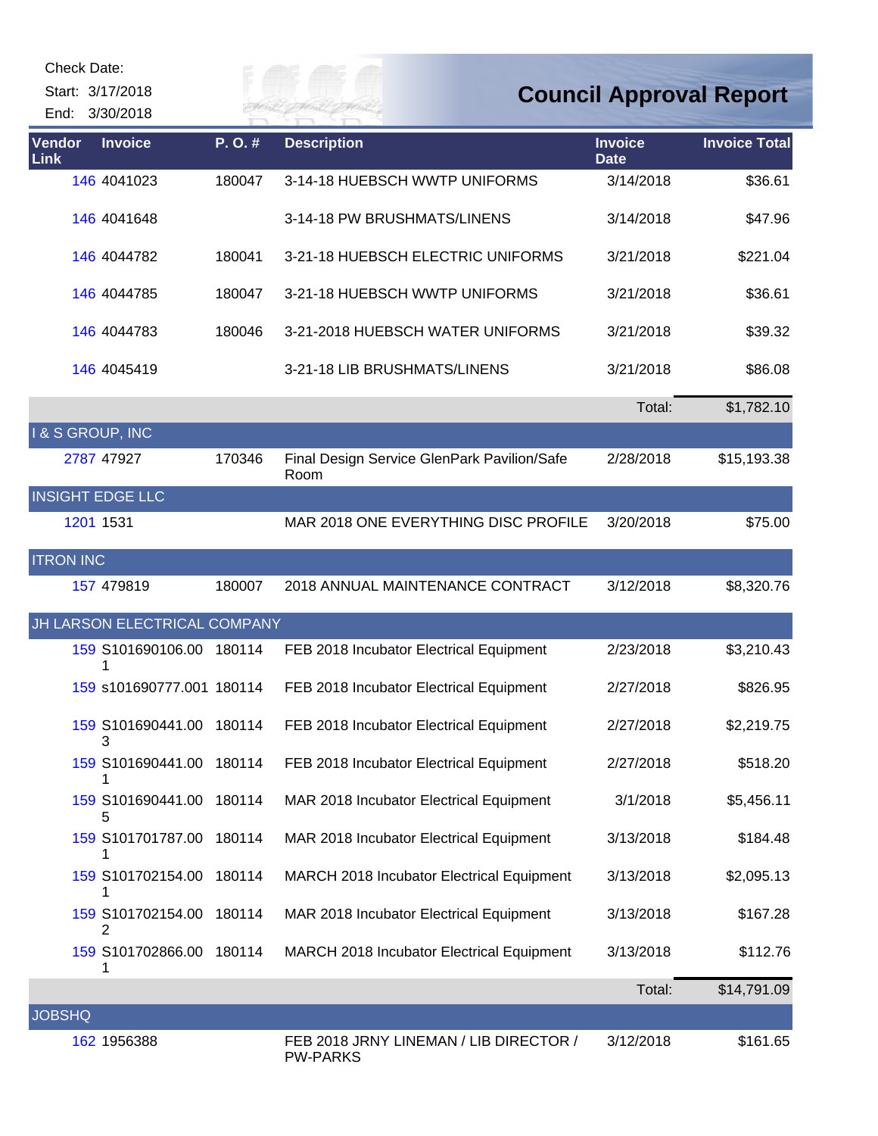| <b>Check Date:</b><br>Start: 3/17/2018<br>End: 3/30/2018 |                              |        |                                                           |                               | <b>Council Approval Report</b> |
|----------------------------------------------------------|------------------------------|--------|-----------------------------------------------------------|-------------------------------|--------------------------------|
| Vendor<br><b>Link</b>                                    | <b>Invoice</b>               | P.O.#  | <b>Description</b>                                        | <b>Invoice</b><br><b>Date</b> | <b>Invoice Total</b>           |
|                                                          | 146 4041023                  | 180047 | 3-14-18 HUEBSCH WWTP UNIFORMS                             | 3/14/2018                     | \$36.61                        |
|                                                          | 146 4041648                  |        | 3-14-18 PW BRUSHMATS/LINENS                               | 3/14/2018                     | \$47.96                        |
|                                                          | 146 4044782                  | 180041 | 3-21-18 HUEBSCH ELECTRIC UNIFORMS                         | 3/21/2018                     | \$221.04                       |
|                                                          | 146 4044785                  | 180047 | 3-21-18 HUEBSCH WWTP UNIFORMS                             | 3/21/2018                     | \$36.61                        |
|                                                          | 146 4044783                  | 180046 | 3-21-2018 HUEBSCH WATER UNIFORMS                          | 3/21/2018                     | \$39.32                        |
|                                                          | 146 4045419                  |        | 3-21-18 LIB BRUSHMATS/LINENS                              | 3/21/2018                     | \$86.08                        |
|                                                          |                              |        |                                                           | Total:                        | \$1,782.10                     |
| <b>I&amp;S GROUP, INC</b>                                |                              |        |                                                           |                               |                                |
| 2787 47927                                               |                              | 170346 | Final Design Service GlenPark Pavilion/Safe<br>Room       | 2/28/2018                     | \$15,193.38                    |
| <b>INSIGHT EDGE LLC</b>                                  |                              |        |                                                           |                               |                                |
| 1201 1531                                                |                              |        | MAR 2018 ONE EVERYTHING DISC PROFILE                      | 3/20/2018                     | \$75.00                        |
| <b>ITRON INC</b>                                         |                              |        |                                                           |                               |                                |
|                                                          | 157 479819                   | 180007 | 2018 ANNUAL MAINTENANCE CONTRACT                          | 3/12/2018                     | \$8,320.76                     |
|                                                          | JH LARSON ELECTRICAL COMPANY |        |                                                           |                               |                                |
|                                                          | 159 S101690106.00<br>1       | 180114 | FEB 2018 Incubator Electrical Equipment                   | 2/23/2018                     | \$3,210.43                     |
|                                                          | 159 s101690777.001 180114    |        | FEB 2018 Incubator Electrical Equipment                   | 2/27/2018                     | \$826.95                       |
|                                                          | 159 S101690441.00<br>3       | 180114 | FEB 2018 Incubator Electrical Equipment                   | 2/27/2018                     | \$2,219.75                     |
|                                                          | 159 S101690441.00            | 180114 | FEB 2018 Incubator Electrical Equipment                   | 2/27/2018                     | \$518.20                       |
|                                                          | 159 S101690441.00<br>5       | 180114 | MAR 2018 Incubator Electrical Equipment                   | 3/1/2018                      | \$5,456.11                     |
|                                                          | 159 S101701787.00<br>1       | 180114 | MAR 2018 Incubator Electrical Equipment                   | 3/13/2018                     | \$184.48                       |
|                                                          | 159 S101702154.00<br>1       | 180114 | MARCH 2018 Incubator Electrical Equipment                 | 3/13/2018                     | \$2,095.13                     |
|                                                          | 159 S101702154.00<br>2       | 180114 | MAR 2018 Incubator Electrical Equipment                   | 3/13/2018                     | \$167.28                       |
|                                                          | 159 S101702866.00            | 180114 | MARCH 2018 Incubator Electrical Equipment                 | 3/13/2018                     | \$112.76                       |
|                                                          |                              |        |                                                           | Total:                        | \$14,791.09                    |
| <b>JOBSHQ</b>                                            |                              |        |                                                           |                               |                                |
|                                                          | 162 1956388                  |        | FEB 2018 JRNY LINEMAN / LIB DIRECTOR /<br><b>PW-PARKS</b> | 3/12/2018                     | \$161.65                       |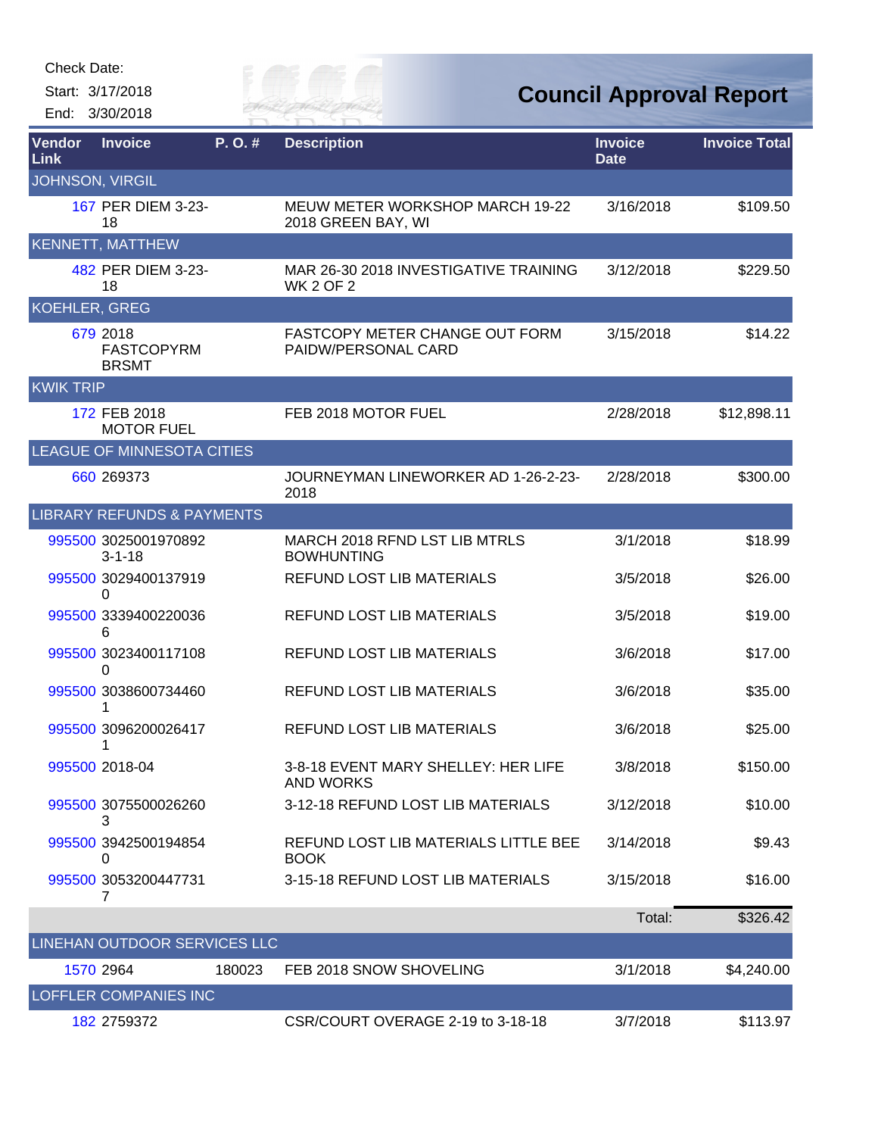Start: 3/17/2018

End: 3/30/2018



**Council Approval Report**

| Vendor<br>Link         | <b>Invoice</b>                                | P.O.#  | <b>Description</b>                                        | <b>Invoice</b><br><b>Date</b> | <b>Invoice Total</b> |
|------------------------|-----------------------------------------------|--------|-----------------------------------------------------------|-------------------------------|----------------------|
| <b>JOHNSON, VIRGIL</b> |                                               |        |                                                           |                               |                      |
|                        | 167 PER DIEM 3-23-<br>18                      |        | MEUW METER WORKSHOP MARCH 19-22<br>2018 GREEN BAY, WI     | 3/16/2018                     | \$109.50             |
|                        | <b>KENNETT, MATTHEW</b>                       |        |                                                           |                               |                      |
|                        | 482 PER DIEM 3-23-<br>18                      |        | MAR 26-30 2018 INVESTIGATIVE TRAINING<br><b>WK 2 OF 2</b> | 3/12/2018                     | \$229.50             |
| <b>KOEHLER, GREG</b>   |                                               |        |                                                           |                               |                      |
|                        | 679 2018<br><b>FASTCOPYRM</b><br><b>BRSMT</b> |        | FASTCOPY METER CHANGE OUT FORM<br>PAIDW/PERSONAL CARD     | 3/15/2018                     | \$14.22              |
| <b>KWIK TRIP</b>       |                                               |        |                                                           |                               |                      |
|                        | 172 FEB 2018<br><b>MOTOR FUEL</b>             |        | FEB 2018 MOTOR FUEL                                       | 2/28/2018                     | \$12,898.11          |
|                        | <b>LEAGUE OF MINNESOTA CITIES</b>             |        |                                                           |                               |                      |
|                        | 660 269373                                    |        | JOURNEYMAN LINEWORKER AD 1-26-2-23-<br>2018               | 2/28/2018                     | \$300.00             |
|                        | <b>LIBRARY REFUNDS &amp; PAYMENTS</b>         |        |                                                           |                               |                      |
|                        | 995500 3025001970892<br>$3 - 1 - 18$          |        | MARCH 2018 RFND LST LIB MTRLS<br><b>BOWHUNTING</b>        | 3/1/2018                      | \$18.99              |
|                        | 995500 3029400137919<br>0                     |        | REFUND LOST LIB MATERIALS                                 | 3/5/2018                      | \$26.00              |
|                        | 995500 3339400220036<br>6                     |        | REFUND LOST LIB MATERIALS                                 | 3/5/2018                      | \$19.00              |
|                        | 995500 3023400117108<br>0                     |        | REFUND LOST LIB MATERIALS                                 | 3/6/2018                      | \$17.00              |
|                        | 995500 3038600734460                          |        | <b>REFUND LOST LIB MATERIALS</b>                          | 3/6/2018                      | \$35.00              |
|                        | 995500 3096200026417<br>1                     |        | REFUND LOST LIB MATERIALS                                 | 3/6/2018                      | \$25.00              |
|                        | 995500 2018-04                                |        | 3-8-18 EVENT MARY SHELLEY: HER LIFE<br><b>AND WORKS</b>   | 3/8/2018                      | \$150.00             |
|                        | 995500 3075500026260<br>3                     |        | 3-12-18 REFUND LOST LIB MATERIALS                         | 3/12/2018                     | \$10.00              |
|                        | 995500 3942500194854<br>0                     |        | REFUND LOST LIB MATERIALS LITTLE BEE<br><b>BOOK</b>       | 3/14/2018                     | \$9.43               |
|                        | 995500 3053200447731<br>7                     |        | 3-15-18 REFUND LOST LIB MATERIALS                         | 3/15/2018                     | \$16.00              |
|                        |                                               |        |                                                           | Total:                        | \$326.42             |
|                        | LINEHAN OUTDOOR SERVICES LLC                  |        |                                                           |                               |                      |
|                        | 1570 2964                                     | 180023 | FEB 2018 SNOW SHOVELING                                   | 3/1/2018                      | \$4,240.00           |
|                        | LOFFLER COMPANIES INC                         |        |                                                           |                               |                      |
|                        | 182 2759372                                   |        | CSR/COURT OVERAGE 2-19 to 3-18-18                         | 3/7/2018                      | \$113.97             |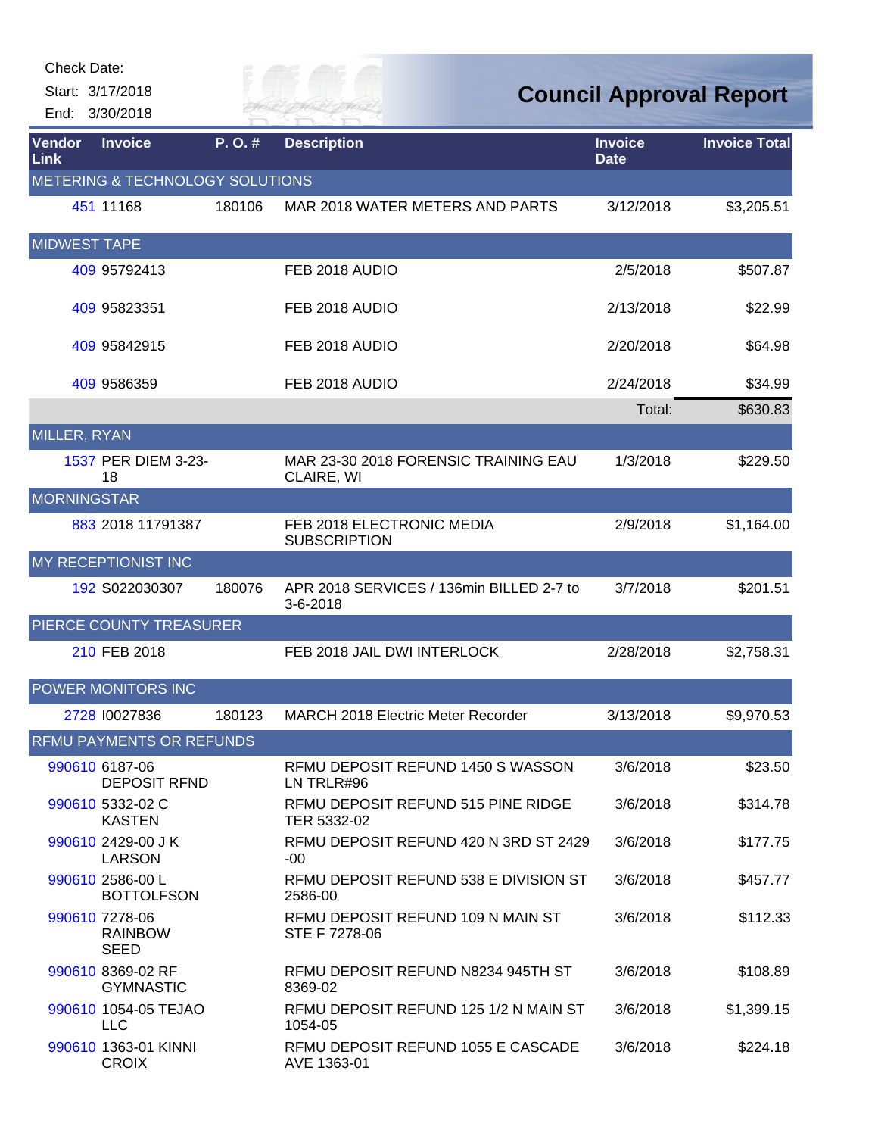| Check Date:         |                                                 |        |                                                      |                               |                                |
|---------------------|-------------------------------------------------|--------|------------------------------------------------------|-------------------------------|--------------------------------|
|                     | Start: 3/17/2018                                |        |                                                      |                               | <b>Council Approval Report</b> |
|                     | End: 3/30/2018                                  |        |                                                      |                               |                                |
| Vendor<br>Link      | <b>Invoice</b>                                  | P.O.#  | <b>Description</b>                                   | <b>Invoice</b><br><b>Date</b> | <b>Invoice Total</b>           |
|                     | METERING & TECHNOLOGY SOLUTIONS                 |        |                                                      |                               |                                |
|                     | 451 11168                                       | 180106 | MAR 2018 WATER METERS AND PARTS                      | 3/12/2018                     | \$3,205.51                     |
| <b>MIDWEST TAPE</b> |                                                 |        |                                                      |                               |                                |
|                     | 409 95792413                                    |        | FEB 2018 AUDIO                                       | 2/5/2018                      | \$507.87                       |
|                     | 409 95823351                                    |        | FEB 2018 AUDIO                                       | 2/13/2018                     | \$22.99                        |
|                     | 409 95842915                                    |        | FEB 2018 AUDIO                                       | 2/20/2018                     | \$64.98                        |
|                     | 409 9586359                                     |        | FEB 2018 AUDIO                                       | 2/24/2018                     | \$34.99                        |
|                     |                                                 |        |                                                      | Total:                        | \$630.83                       |
| MILLER, RYAN        |                                                 |        |                                                      |                               |                                |
|                     | 1537 PER DIEM 3-23-<br>18                       |        | MAR 23-30 2018 FORENSIC TRAINING EAU<br>CLAIRE, WI   | 1/3/2018                      | \$229.50                       |
| <b>MORNINGSTAR</b>  |                                                 |        |                                                      |                               |                                |
|                     | 883 2018 11791387                               |        | FEB 2018 ELECTRONIC MEDIA<br><b>SUBSCRIPTION</b>     | 2/9/2018                      | \$1,164.00                     |
|                     | MY RECEPTIONIST INC                             |        |                                                      |                               |                                |
|                     | 192 S022030307                                  | 180076 | APR 2018 SERVICES / 136min BILLED 2-7 to<br>3-6-2018 | 3/7/2018                      | \$201.51                       |
|                     | PIERCE COUNTY TREASURER                         |        |                                                      |                               |                                |
|                     | 210 FEB 2018                                    |        | FEB 2018 JAIL DWI INTERLOCK                          | 2/28/2018                     | \$2,758.31                     |
|                     | POWER MONITORS INC                              |        |                                                      |                               |                                |
|                     | 2728 10027836                                   | 180123 | <b>MARCH 2018 Electric Meter Recorder</b>            | 3/13/2018                     | \$9,970.53                     |
|                     | <b>RFMU PAYMENTS OR REFUNDS</b>                 |        |                                                      |                               |                                |
|                     | 990610 6187-06<br><b>DEPOSIT RFND</b>           |        | RFMU DEPOSIT REFUND 1450 S WASSON<br>LN TRLR#96      | 3/6/2018                      | \$23.50                        |
|                     | 990610 5332-02 C<br><b>KASTEN</b>               |        | RFMU DEPOSIT REFUND 515 PINE RIDGE<br>TER 5332-02    | 3/6/2018                      | \$314.78                       |
|                     | 990610 2429-00 JK<br><b>LARSON</b>              |        | RFMU DEPOSIT REFUND 420 N 3RD ST 2429<br>-00         | 3/6/2018                      | \$177.75                       |
|                     | 990610 2586-00 L<br><b>BOTTOLFSON</b>           |        | RFMU DEPOSIT REFUND 538 E DIVISION ST<br>2586-00     | 3/6/2018                      | \$457.77                       |
|                     | 990610 7278-06<br><b>RAINBOW</b><br><b>SEED</b> |        | RFMU DEPOSIT REFUND 109 N MAIN ST<br>STE F 7278-06   | 3/6/2018                      | \$112.33                       |
|                     | 990610 8369-02 RF<br><b>GYMNASTIC</b>           |        | RFMU DEPOSIT REFUND N8234 945TH ST<br>8369-02        | 3/6/2018                      | \$108.89                       |
|                     | 990610 1054-05 TEJAO<br><b>LLC</b>              |        | RFMU DEPOSIT REFUND 125 1/2 N MAIN ST<br>1054-05     | 3/6/2018                      | \$1,399.15                     |
|                     | 990610 1363-01 KINNI<br><b>CROIX</b>            |        | RFMU DEPOSIT REFUND 1055 E CASCADE<br>AVE 1363-01    | 3/6/2018                      | \$224.18                       |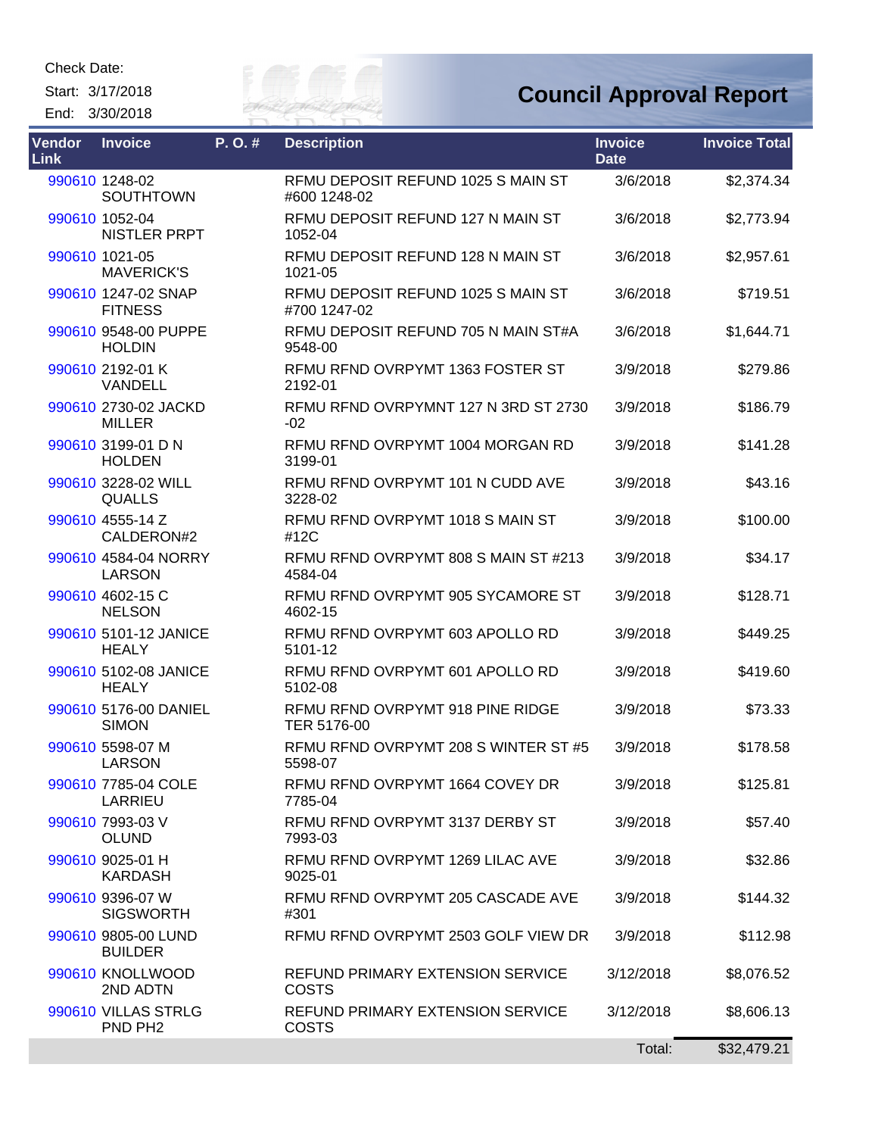Start: 3/17/2018 End: 3/30/2018



## **Council Approval Report**

| Vendor<br>Link | <b>Invoice</b>                             | P.O.# | <b>Description</b>                                      | <b>Invoice</b><br><b>Date</b> | <b>Invoice Total</b> |
|----------------|--------------------------------------------|-------|---------------------------------------------------------|-------------------------------|----------------------|
|                | 990610 1248-02<br>SOUTHTOWN                |       | RFMU DEPOSIT REFUND 1025 S MAIN ST<br>#600 1248-02      | 3/6/2018                      | \$2,374.34           |
|                | 990610 1052-04<br><b>NISTLER PRPT</b>      |       | RFMU DEPOSIT REFUND 127 N MAIN ST<br>1052-04            | 3/6/2018                      | \$2,773.94           |
|                | 990610 1021-05<br><b>MAVERICK'S</b>        |       | RFMU DEPOSIT REFUND 128 N MAIN ST<br>1021-05            | 3/6/2018                      | \$2,957.61           |
|                | 990610 1247-02 SNAP<br><b>FITNESS</b>      |       | RFMU DEPOSIT REFUND 1025 S MAIN ST<br>#700 1247-02      | 3/6/2018                      | \$719.51             |
|                | 990610 9548-00 PUPPE<br><b>HOLDIN</b>      |       | RFMU DEPOSIT REFUND 705 N MAIN ST#A<br>9548-00          | 3/6/2018                      | \$1,644.71           |
|                | 990610 2192-01 K<br>VANDELL                |       | RFMU RFND OVRPYMT 1363 FOSTER ST<br>2192-01             | 3/9/2018                      | \$279.86             |
|                | 990610 2730-02 JACKD<br><b>MILLER</b>      |       | RFMU RFND OVRPYMNT 127 N 3RD ST 2730<br>$-02$           | 3/9/2018                      | \$186.79             |
|                | 990610 3199-01 D N<br><b>HOLDEN</b>        |       | RFMU RFND OVRPYMT 1004 MORGAN RD<br>3199-01             | 3/9/2018                      | \$141.28             |
|                | 990610 3228-02 WILL<br><b>QUALLS</b>       |       | RFMU RFND OVRPYMT 101 N CUDD AVE<br>3228-02             | 3/9/2018                      | \$43.16              |
|                | 990610 4555-14 Z<br>CALDERON#2             |       | RFMU RFND OVRPYMT 1018 S MAIN ST<br>#12C                | 3/9/2018                      | \$100.00             |
|                | 990610 4584-04 NORRY<br><b>LARSON</b>      |       | RFMU RFND OVRPYMT 808 S MAIN ST #213<br>4584-04         | 3/9/2018                      | \$34.17              |
|                | 990610 4602-15 C<br><b>NELSON</b>          |       | RFMU RFND OVRPYMT 905 SYCAMORE ST<br>4602-15            | 3/9/2018                      | \$128.71             |
|                | 990610 5101-12 JANICE<br><b>HEALY</b>      |       | RFMU RFND OVRPYMT 603 APOLLO RD<br>5101-12              | 3/9/2018                      | \$449.25             |
|                | 990610 5102-08 JANICE<br><b>HEALY</b>      |       | RFMU RFND OVRPYMT 601 APOLLO RD<br>5102-08              | 3/9/2018                      | \$419.60             |
|                | 990610 5176-00 DANIEL<br><b>SIMON</b>      |       | RFMU RFND OVRPYMT 918 PINE RIDGE<br>TER 5176-00         | 3/9/2018                      | \$73.33              |
|                | 990610 5598-07 M<br><b>LARSON</b>          |       | RFMU RFND OVRPYMT 208 S WINTER ST #5<br>5598-07         | 3/9/2018                      | \$178.58             |
|                | 990610 7785-04 COLE<br>LARRIEU             |       | RFMU RFND OVRPYMT 1664 COVEY DR<br>7785-04              | 3/9/2018                      | \$125.81             |
|                | 990610 7993-03 V<br><b>OLUND</b>           |       | RFMU RFND OVRPYMT 3137 DERBY ST<br>7993-03              | 3/9/2018                      | \$57.40              |
|                | 990610 9025-01 H<br><b>KARDASH</b>         |       | RFMU RFND OVRPYMT 1269 LILAC AVE<br>9025-01             | 3/9/2018                      | \$32.86              |
|                | 990610 9396-07 W<br><b>SIGSWORTH</b>       |       | RFMU RFND OVRPYMT 205 CASCADE AVE<br>#301               | 3/9/2018                      | \$144.32             |
|                | 990610 9805-00 LUND<br><b>BUILDER</b>      |       | RFMU RFND OVRPYMT 2503 GOLF VIEW DR                     | 3/9/2018                      | \$112.98             |
|                | 990610 KNOLLWOOD<br>2ND ADTN               |       | REFUND PRIMARY EXTENSION SERVICE<br><b>COSTS</b>        | 3/12/2018                     | \$8,076.52           |
|                | 990610 VILLAS STRLG<br>PND PH <sub>2</sub> |       | <b>REFUND PRIMARY EXTENSION SERVICE</b><br><b>COSTS</b> | 3/12/2018                     | \$8,606.13           |
|                |                                            |       |                                                         | Total:                        | \$32,479.21          |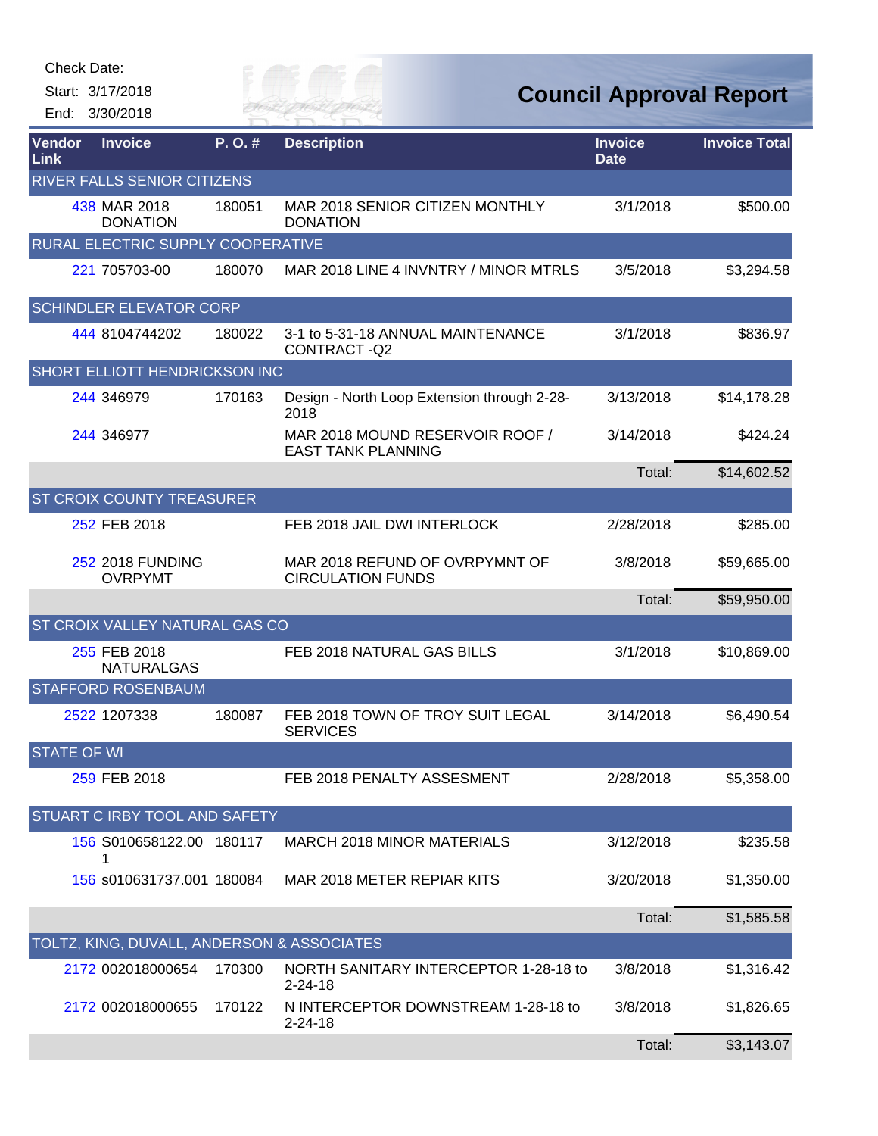|                    | Check Date:<br>Start: 3/17/2018<br>End: 3/30/2018 |        | L. O.J. Jan<br>ER FAI                                        |                               | <b>Council Approval Report</b> |
|--------------------|---------------------------------------------------|--------|--------------------------------------------------------------|-------------------------------|--------------------------------|
| Vendor<br>Link     | <b>Invoice</b>                                    | P.O.#  | <b>Description</b>                                           | <b>Invoice</b><br><b>Date</b> | <b>Invoice Total</b>           |
|                    | RIVER FALLS SENIOR CITIZENS                       |        |                                                              |                               |                                |
|                    | 438 MAR 2018<br><b>DONATION</b>                   | 180051 | MAR 2018 SENIOR CITIZEN MONTHLY<br><b>DONATION</b>           | 3/1/2018                      | \$500.00                       |
|                    | RURAL ELECTRIC SUPPLY COOPERATIVE                 |        |                                                              |                               |                                |
|                    | 221 705703-00                                     | 180070 | MAR 2018 LINE 4 INVNTRY / MINOR MTRLS                        | 3/5/2018                      | \$3,294.58                     |
|                    | <b>SCHINDLER ELEVATOR CORP</b>                    |        |                                                              |                               |                                |
|                    | 444 8104744202                                    | 180022 | 3-1 to 5-31-18 ANNUAL MAINTENANCE<br>CONTRACT-Q2             | 3/1/2018                      | \$836.97                       |
|                    | SHORT ELLIOTT HENDRICKSON INC                     |        |                                                              |                               |                                |
|                    | 244 346979                                        | 170163 | Design - North Loop Extension through 2-28-<br>2018          | 3/13/2018                     | \$14,178.28                    |
|                    | 244 346977                                        |        | MAR 2018 MOUND RESERVOIR ROOF /<br><b>EAST TANK PLANNING</b> | 3/14/2018                     | \$424.24                       |
|                    |                                                   |        |                                                              | Total:                        | \$14,602.52                    |
|                    | <b>ST CROIX COUNTY TREASURER</b>                  |        |                                                              |                               |                                |
|                    | 252 FEB 2018                                      |        | FEB 2018 JAIL DWI INTERLOCK                                  | 2/28/2018                     | \$285.00                       |
|                    | <b>252 2018 FUNDING</b><br><b>OVRPYMT</b>         |        | MAR 2018 REFUND OF OVRPYMNT OF<br><b>CIRCULATION FUNDS</b>   | 3/8/2018                      | \$59,665.00                    |
|                    |                                                   |        |                                                              | Total:                        | \$59,950.00                    |
|                    | ST CROIX VALLEY NATURAL GAS CO                    |        |                                                              |                               |                                |
|                    | 255 FEB 2018<br><b>NATURALGAS</b>                 |        | FEB 2018 NATURAL GAS BILLS                                   | 3/1/2018                      | \$10,869.00                    |
|                    | <b>STAFFORD ROSENBAUM</b>                         |        |                                                              |                               |                                |
|                    | 2522 1207338                                      | 180087 | FEB 2018 TOWN OF TROY SUIT LEGAL<br><b>SERVICES</b>          | 3/14/2018                     | \$6,490.54                     |
| <b>STATE OF WI</b> |                                                   |        |                                                              |                               |                                |
|                    | 259 FEB 2018                                      |        | FEB 2018 PENALTY ASSESMENT                                   | 2/28/2018                     | \$5,358.00                     |
|                    | STUART C IRBY TOOL AND SAFETY                     |        |                                                              |                               |                                |
|                    | 156 S010658122.00 180117<br>1                     |        | <b>MARCH 2018 MINOR MATERIALS</b>                            | 3/12/2018                     | \$235.58                       |
|                    | 156 s010631737.001 180084                         |        | MAR 2018 METER REPIAR KITS                                   | 3/20/2018                     | \$1,350.00                     |
|                    |                                                   |        |                                                              | Total:                        | \$1,585.58                     |
|                    | TOLTZ, KING, DUVALL, ANDERSON & ASSOCIATES        |        |                                                              |                               |                                |
|                    | 2172 002018000654                                 | 170300 | NORTH SANITARY INTERCEPTOR 1-28-18 to<br>$2 - 24 - 18$       | 3/8/2018                      | \$1,316.42                     |
|                    | 2172 002018000655                                 | 170122 | N INTERCEPTOR DOWNSTREAM 1-28-18 to<br>$2 - 24 - 18$         | 3/8/2018                      | \$1,826.65                     |
|                    |                                                   |        |                                                              | Total:                        | \$3,143.07                     |